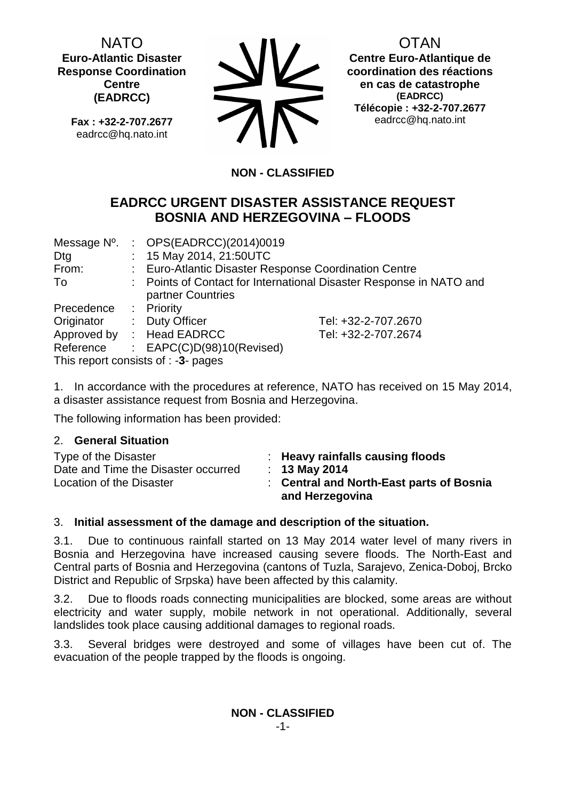NATO **Euro-Atlantic Disaster Response Coordination Centre (EADRCC)**

**Fax : +32-2-707.2677** eadrcc@hq.nato.int



OTAN

**Centre Euro-Atlantique de coordination des réactions en cas de catastrophe (EADRCC) Télécopie : +32-2-707.2677** eadrcc@hq.nato.int

# **NON - CLASSIFIED**

# **EADRCC URGENT DISASTER ASSISTANCE REQUEST BOSNIA AND HERZEGOVINA – FLOODS**

| Message N°.                            |                                                                     | : $OPS(EADRCC)(2014)0019$                             |                     |  |  |
|----------------------------------------|---------------------------------------------------------------------|-------------------------------------------------------|---------------------|--|--|
| Dtg                                    |                                                                     | : 15 May 2014, 21:50UTC                               |                     |  |  |
| From:                                  |                                                                     | : Euro-Atlantic Disaster Response Coordination Centre |                     |  |  |
| To                                     | : Points of Contact for International Disaster Response in NATO and |                                                       |                     |  |  |
|                                        |                                                                     | partner Countries                                     |                     |  |  |
| Precedence                             |                                                                     | : Priority                                            |                     |  |  |
| Originator                             |                                                                     | : Duty Officer                                        | Tel: +32-2-707.2670 |  |  |
|                                        |                                                                     | Approved by : Head EADRCC                             | Tel: +32-2-707.2674 |  |  |
| Reference                              |                                                                     | : $EAPC(C)D(98)10(Revised)$                           |                     |  |  |
| This report consists of $: -3$ - pages |                                                                     |                                                       |                     |  |  |

1. In accordance with the procedures at reference, NATO has received on 15 May 2014, a disaster assistance request from Bosnia and Herzegovina.

The following information has been provided:

## 2. **General Situation**

| Type of the Disaster<br>Date and Time the Disaster occurred<br>Location of the Disaster | $\therefore$ Heavy rainfalls causing floods<br>$: 13$ May 2014<br>: Central and North-East parts of Bosnia |
|-----------------------------------------------------------------------------------------|------------------------------------------------------------------------------------------------------------|
|                                                                                         | and Herzegovina                                                                                            |

## 3. **Initial assessment of the damage and description of the situation.**

3.1. Due to continuous rainfall started on 13 May 2014 water level of many rivers in Bosnia and Herzegovina have increased causing severe floods. The North-East and Central parts of Bosnia and Herzegovina (cantons of Tuzla, Sarajevo, Zenica-Doboj, Brcko District and Republic of Srpska) have been affected by this calamity.

3.2. Due to floods roads connecting municipalities are blocked, some areas are without electricity and water supply, mobile network in not operational. Additionally, several landslides took place causing additional damages to regional roads.

3.3. Several bridges were destroyed and some of villages have been cut of. The evacuation of the people trapped by the floods is ongoing.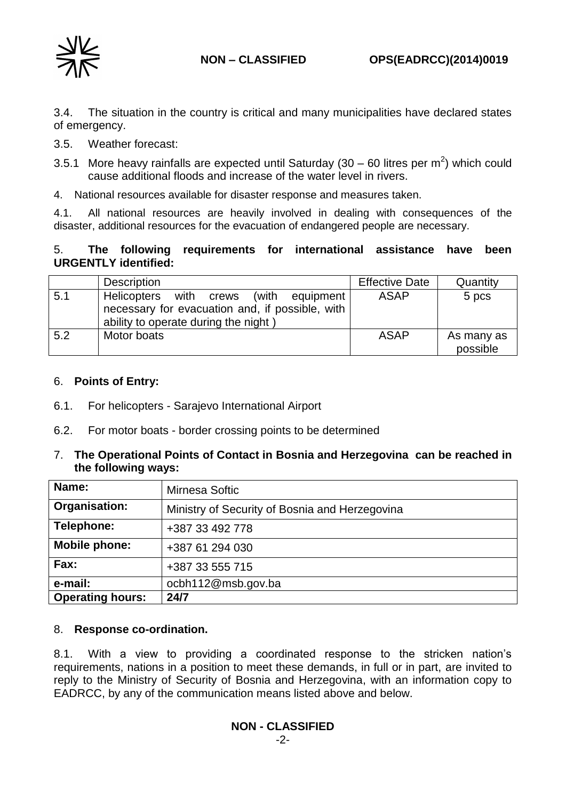



3.4. The situation in the country is critical and many municipalities have declared states of emergency.

- 3.5. Weather forecast:
- 3.5.1 More heavy rainfalls are expected until Saturday (30 60 litres per  $m^2$ ) which could cause additional floods and increase of the water level in rivers.
- 4. National resources available for disaster response and measures taken.

4.1. All national resources are heavily involved in dealing with consequences of the disaster, additional resources for the evacuation of endangered people are necessary.

## 5. **The following requirements for international assistance have been URGENTLY identified:**

|     | <b>Description</b>                                                                                                                      | <b>Effective Date</b> | Quantity               |
|-----|-----------------------------------------------------------------------------------------------------------------------------------------|-----------------------|------------------------|
| 5.1 | Helicopters with crews<br>(with<br>equipment<br>necessary for evacuation and, if possible, with<br>ability to operate during the night) | <b>ASAP</b>           | 5 pcs                  |
| 5.2 | Motor boats                                                                                                                             | <b>ASAP</b>           | As many as<br>possible |

### 6. **Points of Entry:**

- 6.1. For helicopters Sarajevo International Airport
- 6.2. For motor boats border crossing points to be determined

### 7. **The Operational Points of Contact in Bosnia and Herzegovina can be reached in the following ways:**

| Name:                   | Mirnesa Softic                                 |
|-------------------------|------------------------------------------------|
| Organisation:           | Ministry of Security of Bosnia and Herzegovina |
| Telephone:              | +387 33 492 778                                |
| Mobile phone:           | +387 61 294 030                                |
| Fax:                    | +387 33 555 715                                |
| e-mail:                 | ocbh112@msb.gov.ba                             |
| <b>Operating hours:</b> | 24/7                                           |

### 8. **Response co-ordination.**

8.1. With a view to providing a coordinated response to the stricken nation's requirements, nations in a position to meet these demands, in full or in part, are invited to reply to the Ministry of Security of Bosnia and Herzegovina, with an information copy to EADRCC, by any of the communication means listed above and below.